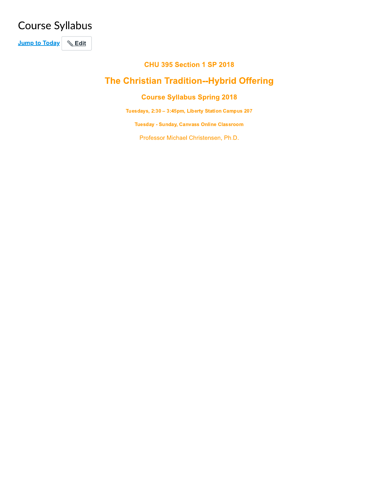# **Course Syllabus**

Jump to Today & Edit

# **CHU 395 Section 1 SP 2018**

# The Christian Tradition--Hybrid Offering

# **Course Syllabus Spring 2018**

Tuesdays, 2:30 - 3:45pm, Liberty Station Campus 207

**Tuesday - Sunday, Canvass Online Classroom** 

Professor Michael Christensen, Ph.D.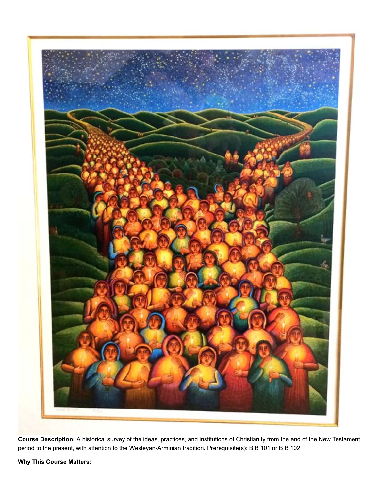

Course Description: A historical survey of the ideas, practices, and institutions of Christianity from the end of the New Testament period to the present, with attention to the Wesleyan-Arminian tradition. Prerequisite(s): BIB 101 or BIB 102.

**Why This Course Matters:**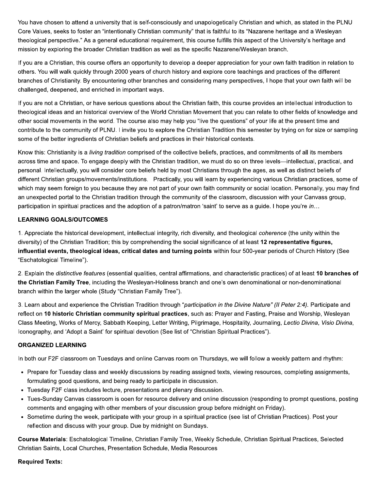You have chosen to attend a university that is self-consciously and unapologetically Christian and which, as stated in the PLNU Core Values, seeks to foster an "intentionally Christian community" that is faithful to its "Nazarene heritage and a Wesleyan theological perspective." As a general educational requirement, this course fulfills this aspect of the University's heritage and mission by exploring the broader Christian tradition as well as the specific Nazarene/Wesleyan branch.

If you are a Christian, this course offers an opportunity to develop a deeper appreciation for your own faith tradition in relation to others. You will walk quickly through 2000 years of church history and explore core teachings and practices of the different branches of Christianity. By encountering other branches and considering many perspectives, I hope that your own faith will be challenged, deepened, and enriched in important ways.

If you are not a Christian, or have serious questions about the Christian faith, this course provides an intellectual introduction to theological ideas and an historical overview of the World Christian Movement that you can relate to other fields of knowledge and other social movements in the world. The course also may help you "live the questions" of your life at the present time and contribute to the community of PLNU. I invite you to explore the Christian Tradition this semester by trying on for size or sampling some of the better ingredients of Christian beliefs and practices in their historical contexts.

Know this: Christianity is a *living tradition* comprised of the collective beliefs, practices, and commitments of all its members across time and space. To engage deeply with the Christian tradition, we must do so on three levels—intellectual, practical, and personal. Intellectually, you will consider core beliefs held by most Christians through the ages, as well as distinct beliefs of different Christian groups/movements/institutions. Practically, you will learn by experiencing various Christian practices, some of which may seem foreign to you because they are not part of your own faith community or social location. Personally, you may find an unexpected portal to the Christian tradition through the community of the classroom, discussion with your Canvass group, participation in spiritual practices and the adoption of a patron/matron 'saint' to serve as a quide. I hope you're in...

# **LEARNING GOALS/OUTCOMES**

1. Appreciate the historical development, intellectual integrity, rich diversity, and theological coherence (the unity within the diversity) of the Christian Tradition; this by comprehending the social significance of at least 12 representative figures, influential events, theological ideas, critical dates and turning points within four 500-year periods of Church History (See "Eschatological Timeline").

2. Explain the distinctive features (essential qualities, central affirmations, and characteristic practices) of at least 10 branches of the Christian Family Tree, including the Wesleyan-Holiness branch and one's own denominational or non-denominational branch within the larger whole (Study "Christian Family Tree").

3. Learn about and experience the Christian Tradition through "participation in the Divine Nature" (II Peter 2:4). Participate and reflect on 10 historic Christian community spiritual practices, such as: Prayer and Fasting, Praise and Worship, Wesleyan Class Meeting, Works of Mercy, Sabbath Keeping, Letter Writing, Pilgrimage, Hospitality, Journaling, Lectio Divina, Visio Divina, Iconography, and 'Adopt a Saint' for spiritual devotion (See list of "Christian Spiritual Practices").

# **ORGANIZED LEARNING**

In both our F2F classroom on Tuesdays and online Canvas room on Thursdays, we will follow a weekly pattern and rhythm:

- Prepare for Tuesday class and weekly discussions by reading assigned texts, viewing resources, completing assignments, formulating good questions, and being ready to participate in discussion.
- Tuesday F2F class includes lecture, presentations and plenary discussion.
- Tues-Sunday Canvas classroom is ooen for resource delivery and online discussion (responding to prompt questions, posting comments and engaging with other members of your discussion group before midnight on Friday).
- Sometime during the week, participate with your group in a spiritual practice (see list of Christian Practices). Post your reflection and discuss with your group. Due by midnight on Sundays.

Course Materials: Eschatological Timeline, Christian Family Tree, Weekly Schedule, Christian Spiritual Practices, Selected Christian Saints, Local Churches, Presentation Schedule, Media Resources

# **Required Texts:**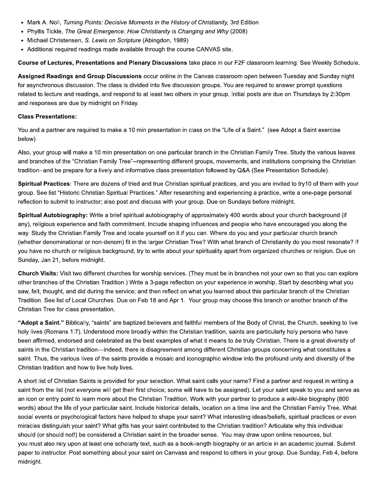- Mark A. Noll, Turning Points: Decisive Moments in the History of Christianity, 3rd Edition
- Phyllis Tickle, The Great Emergence: How Christianity is Changing and Why (2008)
- Michael Christensen, S. Lewis on Scripture (Abingdon, 1989)
- Additional required readings made available through the course CANVAS site.

Course of Lectures, Presentations and Plenary Discussions take place in our F2F classroom learning. See Weekly Schedule.

Assigned Readings and Group Discussions occur online in the Canvas classroom open between Tuesday and Sunday night for asynchronous discussion. The class is divided into five discussion groups. You are required to answer prompt questions related to lecture and readings, and respond to at least two others in your group. Initial posts are due on Thursdays by 2:30pm and responses are due by midnight on Friday.

# **Class Presentations:**

You and a partner are required to make a 10 min presentation in class on the "Life of a Saint." (see Adopt a Saint exercise below).

Also, your group will make a 10 min presentation on one particular branch in the Christian Family Tree. Study the various leaves and branches of the "Christian Family Tree"--representing different groups, movements, and institutions comprising the Christian tradition--and be prepare for a lively and informative class presentation followed by Q&A (See Presentation Schedule).

Spiritual Practices: There are dozens of tried and true Christian spiritual practices, and you are invited to try10 of them with your group. See list "Historic Christian Spiritual Practices." After researching and experiencing a practice, write a one-page personal reflection to submit to instructor; also post and discuss with your group. Due on Sundays before midnight.

Spiritual Autobiography: Write a brief spiritual autobiography of approximately 400 words about your church background (if any), religious experience and faith commitment. Include shaping influences and people who have encouraged you along the way. Study the Christian Family Tree and locate yourself on it if you can. Where do you and your particular church branch (whether denominational or non-denom) fit in the larger Christian Tree? With what branch of Christianity do you most resonate? If you have no church or religious background, try to write about your spirituality apart from organized churches or religion. Due on Sunday, Jan 21, before midnight.

Church Visits: Visit two different churches for worship services. (They must be in branches not your own so that you can explore other branches of the Christian Tradition.) Write a 3-page reflection on your experience in worship. Start by describing what you saw, felt, thought, and did during the service; and then reflect on what you learned about this particular branch of the Christian Tradition. See list of Local Churches. Due on Feb 18 and Apr 1. Your group may choose this branch or another branch of the Christian Tree for class presentation.

"Adopt a Saint." Biblically, "saints" are baptized believers and faithful members of the Body of Christ, the Church, seeking to live holy lives (Romans 1:7). Understood more broadly within the Christian tradition, saints are particularly holy persons who have been affirmed, endorsed and celebrated as the best examples of what it means to be truly Christian. There is a great diversity of saints in the Christian tradition—indeed, there is disagreement among different Christian groups concerning what constitutes a saint. Thus, the various lives of the saints provide a mosaic and iconographic window into the profound unity and diversity of the Christian tradition and how to live holy lives.

A short list of Christian Saints is provided for your selection. What saint calls your name? Find a partner and request in writing a saint from the list (not everyone will get their first choice; some will have to be assigned). Let your saint speak to you and serve as an icon or entry point to learn more about the Christian Tradition. Work with your partner to produce a wiki-like biography (800 words) about the life of your particular saint. Include historical details, location on a time line and the Christian Family Tree. What social events or psychological factors have helped to shape your saint? What interesting ideas/beliefs, spiritual practices or even miracles distinguish your saint? What gifts has your saint contributed to the Christian tradition? Articulate why this individual should (or should not!) be considered a Christian saint in the broader sense. You may draw upon online resources, but you must also rely upon at least one scholarly text, such as a book-length biography or an article in an academic journal. Submit paper to instructor. Post something about your saint on Canvass and respond to others in your group. Due Sunday, Feb 4, before midnight.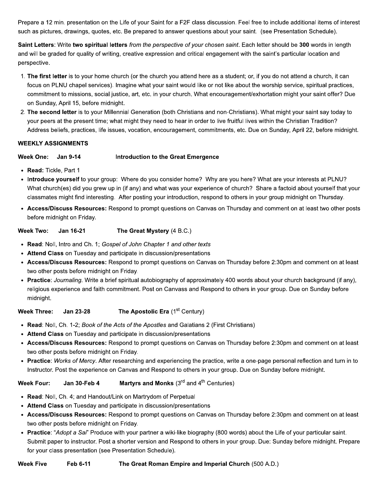Prepare a 12 min. presentation on the Life of your Saint for a F2F class discussion. Feel free to include additional items of interest such as pictures, drawings, quotes, etc. Be prepared to answer questions about your saint. (see Presentation Schedule).

Saint Letters: Write two spiritual letters from the perspective of your chosen saint. Each letter should be 300 words in length and will be graded for quality of writing, creative expression and critical engagement with the saint's particular location and perspective.

- 1. The first letter is to your home church (or the church you attend here as a student; or, if you do not attend a church, it can focus on PLNU chapel services). Imagine what your saint would like or not like about the worship service, spiritual practices, commitment to missions, social justice, art, etc. in your church. What encouragement/exhortation might your saint offer? Due on Sunday, April 15, before midnight.
- 2. The second letter is to your Millennial Generation (both Christians and non-Christians). What might your saint say today to your peers at the present time; what might they need to hear in order to live fruitful lives within the Christian Tradition? Address beliefs, practices, life issues, vocation, encouragement, commitments, etc. Due on Sunday, April 22, before midnight.

# **WEEKLY ASSIGNMENTS**

Week One: Jan 9-14 **Introduction to the Great Emergence** 

- Read: Tickle, Part 1
- Introduce yourself to your group: Where do you consider home? Why are you here? What are your interests at PLNU? What church(es) did you grew up in (if any) and what was your experience of church? Share a factoid about yourself that your classmates might find interesting. After posting your introduction, respond to others in your group midnight on Thursday.
- Access/Discuss Resources: Respond to prompt questions on Canvas on Thursday and comment on at least two other posts before midnight on Friday.

**Week Two: Jan 16-21** The Great Mystery (4 B.C.)

- Read: Noll, Intro and Ch. 1; Gospel of John Chapter 1 and other texts
- Attend Class on Tuesday and participate in discussion/presentations
- Access/Discuss Resources: Respond to prompt questions on Canvas on Thursday before 2:30pm and comment on at least two other posts before midnight on Friday.
- Practice: Journaling. Write a brief spiritual autobiography of approximately 400 words about your church background (if any), religious experience and faith commitment. Post on Canvass and Respond to others in your group. Due on Sunday before midnight.

**Week Three:** Jan 23-28 The Apostolic Era  $(1<sup>st</sup> Century)$ 

- Read: Noll, Ch. 1-2; Book of the Acts of the Apostles and Galatians 2 (First Christians)
- Attend Class on Tuesday and participate in discussion/presentations
- Access/Discuss Resources: Respond to prompt questions on Canvas on Thursday before 2:30pm and comment on at least two other posts before midnight on Friday.
- Practice: Works of Mercy. After researching and experiencing the practice, write a one-page personal reflection and turn in to Instructor. Post the experience on Canvas and Respond to others in your group. Due on Sunday before midnight.

Martyrs and Monks  $(3<sup>rd</sup>$  and  $4<sup>th</sup>$  Centuries) **Week Four:** Jan 30-Feb 4

- Read: Noll, Ch. 4; and Handout/Link on Martrydom of Perpetual
- Attend Class on Tuesday and participate in discussion/presentations
- Access/Discuss Resources: Respond to prompt questions on Canvas on Thursday before 2:30pm and comment on at least two other posts before midnight on Friday.
- Practice: "Adopt a Sai" Produce with your partner a wiki-like biography (800 words) about the Life of your particular saint. Submit paper to instructor. Post a shorter version and Respond to others in your group. Due: Sunday before midnight. Prepare for your class presentation (see Presentation Schedule).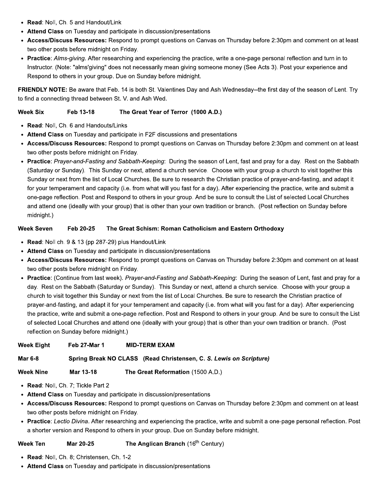- Read: Noll, Ch. 5 and Handout/Link
- Attend Class on Tuesday and participate in discussion/presentations
- Access/Discuss Resources: Respond to prompt questions on Canvas on Thursday before 2:30pm and comment on at least two other posts before midnight on Friday.
- Practice: Alms-giving. After researching and experiencing the practice, write a one-page personal reflection and turn in to Instructor. (Note: "alms'giving" does not necessarily mean giving someone money (See Acts 3). Post your experience and Respond to others in your group. Due on Sunday before midnight.

FRIENDLY NOTE: Be aware that Feb. 14 is both St. Valentines Day and Ash Wednesday--the first day of the season of Lent. Try to find a connecting thread between St. V. and Ash Wed.

#### **Week Six** Feb 13-18 The Great Year of Terror (1000 A.D.)

- Read: Noll, Ch. 6 and Handouts/Links
- Attend Class on Tuesday and participate in F2F discussions and presentations
- Access/Discuss Resources: Respond to prompt questions on Canvas on Thursday before 2:30pm and comment on at least two other posts before midnight on Friday.
- Practice: Prayer-and-Fasting and Sabbath-Keeping: During the season of Lent, fast and pray for a day. Rest on the Sabbath (Saturday or Sunday). This Sunday or next, attend a church service. Choose with your group a church to visit together this Sunday or next from the list of Local Churches. Be sure to research the Christian practice of prayer-and-fasting, and adapt it for your temperament and capacity (i.e. from what will you fast for a day). After experiencing the practice, write and submit a one-page reflection. Post and Respond to others in your group. And be sure to consult the List of selected Local Churches and attend one (ideally with your group) that is other than your own tradition or branch. (Post reflection on Sunday before midnight.)

#### **Week Seven** Feb 20-25 The Great Schism: Roman Catholicism and Eastern Orthodoxy

- Read: Noll ch. 9 & 13 (pp 287-29) plus Handout/Link
- Attend Class on Tuesday and participate in discussion/presentations
- Access/Discuss Resources: Respond to prompt questions on Canvas on Thursday before 2:30pm and comment on at least two other posts before midnight on Friday.
- Practice: (Continue from last week). Prayer-and-Fasting and Sabbath-Keeping: During the season of Lent, fast and pray for a day. Rest on the Sabbath (Saturday or Sunday). This Sunday or next, attend a church service. Choose with your group a church to visit together this Sunday or next from the list of Local Churches. Be sure to research the Christian practice of prayer-and-fasting, and adapt it for your temperament and capacity (i.e. from what will you fast for a day). After experiencing the practice, write and submit a one-page reflection. Post and Respond to others in your group. And be sure to consult the List of selected Local Churches and attend one (ideally with your group) that is other than your own tradition or branch. (Post reflection on Sunday before midnight.)

**Week Eight** Feb 27-Mar 1 **MID-TERM EXAM** 

**Mar 6-8** Spring Break NO CLASS (Read Christensen, C. S. Lewis on Scripture)

**Week Nine** Mar 13-18 The Great Reformation (1500 A.D.)

- Read: Noll, Ch. 7; Tickle Part 2
- Attend Class on Tuesday and participate in discussion/presentations
- Access/Discuss Resources: Respond to prompt questions on Canvas on Thursday before 2:30pm and comment on at least two other posts before midnight on Friday.
- Practice: Lectio Divina. After researching and experiencing the practice, write and submit a one-page personal reflection. Post a shorter version and Respond to others in your group. Due on Sunday before midnight.

The Anglican Branch (16<sup>th</sup> Century) **Week Ten** Mar 20-25

- Read: Noll, Ch. 8; Christensen, Ch. 1-2
- Attend Class on Tuesday and participate in discussion/presentations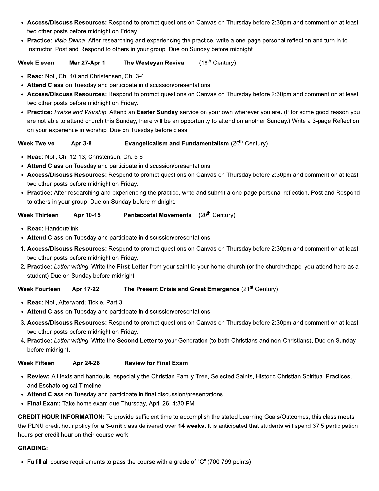- Access/Discuss Resources: Respond to prompt questions on Canvas on Thursday before 2:30pm and comment on at least two other posts before midnight on Friday.
- Practice: Visio Divina. After researching and experiencing the practice, write a one-page personal reflection and turn in to Instructor. Post and Respond to others in your group. Due on Sunday before midnight.

 $(18<sup>th</sup> Century)$ **Week Eleven Mar 27-Apr 1 The Wesleyan Revival** 

- Read: Noll, Ch. 10 and Christensen, Ch. 3-4
- Attend Class on Tuesday and participate in discussion/presentations
- Access/Discuss Resources: Respond to prompt questions on Canvas on Thursday before 2:30pm and comment on at least two other posts before midnight on Friday.
- Practice: Praise and Worship. Attend an Easter Sunday service on your own wherever you are. (If for some good reason you are not able to attend church this Sunday, there will be an opportunity to attend on another Sunday.) Write a 3-page Reflection on your experience in worship. Due on Tuesday before class.

#### Evangelicalism and Fundamentalism  $(20<sup>th</sup> Century)$ **Week Twelve** Apr 3-8

- Read: Noll, Ch. 12-13; Christensen, Ch. 5-6
- Attend Class on Tuesday and participate in discussion/presentations
- Access/Discuss Resources: Respond to prompt questions on Canvas on Thursday before 2:30pm and comment on at least two other posts before midnight on Friday.
- Practice: After researching and experiencing the practice, write and submit a one-page personal reflection. Post and Respond to others in your group. Due on Sunday before midnight.

#### **Week Thirteen** Pentecostal Movements (20<sup>th</sup> Century) Apr 10-15

- Read: Handout/link
- Attend Class on Tuesday and participate in discussion/presentations
- 1. Access/Discuss Resources: Respond to prompt questions on Canvas on Thursday before 2:30pm and comment on at least two other posts before midnight on Friday.
- 2. Practice: Letter-writing. Write the First Letter from your saint to your home church (or the church/chapel you attend here as a student) Due on Sunday before midnight.

#### The Present Crisis and Great Emergence (21<sup>st</sup> Century) **Week Fourteen** Apr 17-22

- Read: Noll, Afterword; Tickle, Part 3
- Attend Class on Tuesday and participate in discussion/presentations
- 3. Access/Discuss Resources: Respond to prompt questions on Canvas on Thursday before 2:30pm and comment on at least two other posts before midnight on Friday.
- 4. Practice: Letter-writing. Write the Second Letter to your Generation (to both Christians and non-Christians). Due on Sunday before midnight.

#### **Week Fifteen Review for Final Exam** Apr 24-26

- Review: All texts and handouts, especially the Christian Family Tree, Selected Saints, Historic Christian Spiritual Practices, and Eschatological Timeline.
- Attend Class on Tuesday and participate in final discussion/presentations
- Final Exam: Take home exam due Thursday, April 26, 4:30 PM

**CREDIT HOUR INFORMATION:** To provide sufficient time to accomplish the stated Learning Goals/Outcomes, this class meets the PLNU credit hour policy for a 3-unit class delivered over 14 weeks. It is anticipated that students will spend 37.5 participation hours per credit hour on their course work.

# **GRADING:**

• Fulfill all course requirements to pass the course with a grade of "C" (700-799 points)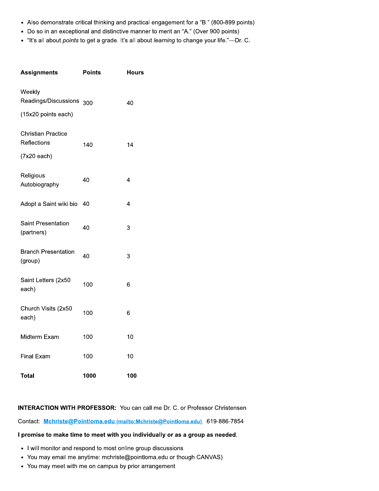- Also demonstrate critical thinking and practical engagement for a "B." (800-899 points)
- Do so in an exceptional and distinctive manner to merit an "A." (Over 900 points)
- "It's all about points to get a grade. It's all about learning to change your life."-Dr. C.

| Assignments                                               | Points | Hours |
|-----------------------------------------------------------|--------|-------|
| Weekly<br>Readings/Discussions<br>(15x20 points each)     | 300    | 40    |
| <b>Christian Practice</b><br>Reflections<br>$(7x20$ each) | 140    | 14    |
| Religious<br>Autobiography                                | 40     | 4     |
| Adopt a Saint wiki bio                                    | 40     | 4     |
| Saint Presentation<br>(partners)                          | 40     | 3     |
| <b>Branch Presentation</b><br>(group)                     | 40     | 3     |
| Saint Letters (2x50<br>each)                              | 100    | 6     |
| Church Visits (2x50<br>each)                              | 100    | 6     |
| Midterm Exam                                              | 100    | 10    |
| <b>Final Exam</b>                                         | 100    | 10    |
| Total                                                     | 1000   | 100   |

INTERACTION WITH PROFESSOR: You can call me Dr. C. or Professor Christensen

Contact: Mchriste@Pointloma.edu (mailto:Mchriste@Pointloma.edu) 619-886-7854

# I promise to make time to meet with you individually or as a group as needed.

- I will monitor and respond to most online group discussions
- You may email me anytime: mchriste@pointloma.edu or though CANVAS)
- You may meet with me on campus by prior arrangement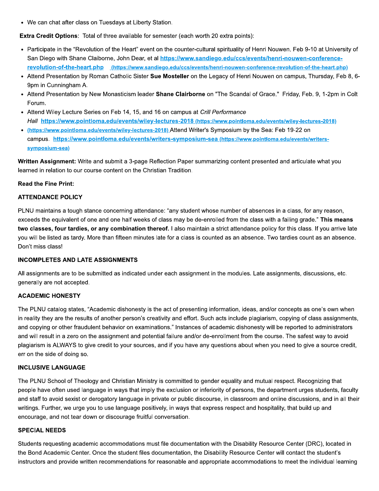• We can chat after class on Tuesdays at Liberty Station.

**Extra Credit Options:** Total of three available for semester (each worth 20 extra points):

- Participate in the "Revolution of the Heart" event on the counter-cultural spirituality of Henri Nouwen. Feb 9-10 at University of San Diego with Shane Claiborne, John Dear, et al https://www.sandiego.edu/ccs/events/henri-nouwen-conferencerevolution-of-the-heart.php (https://www.sandiego.edu/ccs/events/henri-nouwen-conference-revolution-of-the-heart.php)
- Attend Presentation by Roman Catholic Sister Sue Mosteller on the Legacy of Henri Nouwen on campus, Thursday, Feb 8, 6-9pm in Cunningham A.
- Attend Presentation by New Monasticism leader Shane Clairborne on "The Scandal of Grace." Friday, Feb. 9, 1-2pm in Colt Forum.
- Attend Wiley Lecture Series on Feb 14, 15, and 16 on campus at Crill Performance Hall https://www.pointloma.edu/events/wiley-lectures-2018 (https://www.pointloma.edu/events/wiley-lectures-2018)
- . (https://www.pointloma.edu/events/wiley-lectures-2018) Attend Writer's Symposium by the Sea: Feb 19-22 on campus. https://www.pointloma.edu/events/writers-symposium-sea (https://www.pointloma.edu/events/writerssymposium-sea)

Written Assignment: Write and submit a 3-page Reflection Paper summarizing content presented and articulate what you learned in relation to our course content on the Christian Tradition.

# **Read the Fine Print:**

### **ATTENDANCE POLICY**

PLNU maintains a tough stance concerning attendance: "any student whose number of absences in a class, for any reason, exceeds the equivalent of one and one half weeks of class may be de-enrolled from the class with a failing grade." This means two classes, four tardies, or any combination thereof. I also maintain a strict attendance policy for this class. If you arrive late you will be listed as tardy. More than fifteen minutes late for a class is counted as an absence. Two tardies count as an absence. Don't miss class!

### **INCOMPLETES AND LATE ASSIGNMENTS**

All assignments are to be submitted as indicated under each assignment in the modules. Late assignments, discussions, etc. generally are not accepted.

# **ACADEMIC HONESTY**

The PLNU catalog states, "Academic dishonesty is the act of presenting information, ideas, and/or concepts as one's own when in reality they are the results of another person's creativity and effort. Such acts include plagiarism, copying of class assignments, and copying or other fraudulent behavior on examinations." Instances of academic dishonesty will be reported to administrators and will result in a zero on the assignment and potential failure and/or de-enrollment from the course. The safest way to avoid plagiarism is ALWAYS to give credit to your sources, and if you have any questions about when you need to give a source credit, err on the side of doing so.

### **INCLUSIVE LANGUAGE**

The PLNU School of Theology and Christian Ministry is committed to gender equality and mutual respect. Recognizing that people have often used language in ways that imply the exclusion or inferiority of persons, the department urges students, faculty and staff to avoid sexist or derogatory language in private or public discourse, in classroom and online discussions, and in all their writings. Further, we urge you to use language positively, in ways that express respect and hospitality, that build up and encourage, and not tear down or discourage fruitful conversation.

### **SPECIAL NEEDS**

Students requesting academic accommodations must file documentation with the Disability Resource Center (DRC), located in the Bond Academic Center. Once the student files documentation, the Disability Resource Center will contact the student's instructors and provide written recommendations for reasonable and appropriate accommodations to meet the individual learning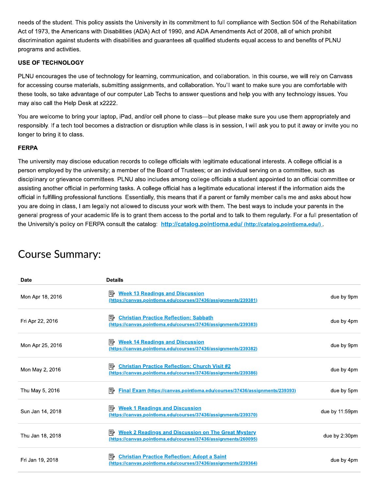needs of the student. This policy assists the University in its commitment to full compliance with Section 504 of the Rehabilitation Act of 1973, the Americans with Disabilities (ADA) Act of 1990, and ADA Amendments Act of 2008, all of which prohibit discrimination against students with disabilities and guarantees all qualified students equal access to and benefits of PLNU programs and activities.

# **USE OF TECHNOLOGY**

PLNU encourages the use of technology for learning, communication, and collaboration. In this course, we will rely on Canvass for accessing course materials, submitting assignments, and collaboration. You'll want to make sure you are comfortable with these tools, so take advantage of our computer Lab Techs to answer questions and help you with any technology issues. You may also call the Help Desk at x2222.

You are welcome to bring your laptop, iPad, and/or cell phone to class—but please make sure you use them appropriately and responsibly. If a tech tool becomes a distraction or disruption while class is in session, I will ask you to put it away or invite you no longer to bring it to class.

# **FERPA**

The university may disclose education records to college officials with legitimate educational interests. A college official is a person employed by the university; a member of the Board of Trustees; or an individual serving on a committee, such as disciplinary or grievance committees. PLNU also includes among college officials a student appointed to an official committee or assisting another official in performing tasks. A college official has a legitimate educational interest if the information aids the official in fulfilling professional functions. Essentially, this means that if a parent or family member calls me and asks about how you are doing in class, I am legally not allowed to discuss your work with them. The best ways to include your parents in the general progress of your academic life is to grant them access to the portal and to talk to them regularly. For a full presentation of the University's policy on FERPA consult the catalog: http://catalog.pointloma.edu/ (http://catalog.pointloma.edu/)

| <b>Date</b>      | <b>Details</b>                                                                                                                     |                   |
|------------------|------------------------------------------------------------------------------------------------------------------------------------|-------------------|
| Mon Apr 18, 2016 | <b>Week 13 Readings and Discussion</b><br>י ⊮י<br>(https://canvas.pointloma.edu/courses/37436/assignments/239381)                  | due by 9pm        |
| Fri Apr 22, 2016 | <b>Christian Practice Reflection: Sabbath</b><br>⊯<br>(https://canvas.pointloma.edu/courses/37436/assignments/239383)              | due by 4pm        |
| Mon Apr 25, 2016 | <b>Week 14 Readings and Discussion</b><br>l5»<br>(https://canvas.pointloma.edu/courses/37436/assignments/239382)                   | due by 9pm        |
| Mon May 2, 2016  | <b>Christian Practice Reflection: Church Visit #2</b><br>⊯<br>(https://canvas.pointloma.edu/courses/37436/assignments/239386)      | due by 4pm        |
| Thu May 5, 2016  | Final Exam (https://canvas.pointloma.edu/courses/37436/assignments/239393)<br>⊯                                                    | due by 5pm        |
| Sun Jan 14, 2018 | <b>Week 1 Readings and Discussion</b><br>診<br>(https://canvas.pointloma.edu/courses/37436/assignments/239370)                      | due by $11:59$ pm |
| Thu Jan 18, 2018 | <b>Week 2 Readings and Discussion on The Great Mystery</b><br>⊯<br>(https://canvas.pointloma.edu/courses/37436/assignments/260095) | due by 2:30pm     |
| Fri Jan 19, 2018 | <b>Christian Practice Reflection: Adopt a Saint</b><br>l₽≽<br>(https://canvas.pointloma.edu/courses/37436/assignments/239364)      | due by 4pm        |

# **Course Summary:**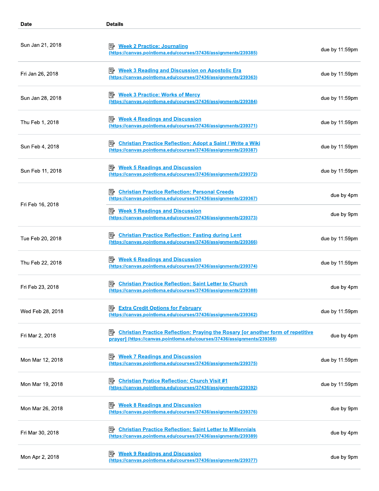| <b>Date</b>      | <b>Details</b>                                                                                                                                                          |                   |
|------------------|-------------------------------------------------------------------------------------------------------------------------------------------------------------------------|-------------------|
| Sun Jan 21, 2018 | <b>Week 2 Practice: Journaling</b><br>יש<br>(https://canvas.pointloma.edu/courses/37436/assignments/239385)                                                             | due by 11:59pm    |
| Fri Jan 26, 2018 | <b>E</b> Week 3 Reading and Discussion on Apostolic Era<br>(https://canvas.pointloma.edu/courses/37436/assignments/239363)                                              | due by 11:59pm    |
| Sun Jan 28, 2018 | <b>E Week 3 Practice: Works of Mercy</b><br>(https://canvas.pointloma.edu/courses/37436/assignments/239384)                                                             | due by 11:59pm    |
| Thu Feb 1, 2018  | <b>E</b> Week 4 Readings and Discussion<br>(https://canvas.pointloma.edu/courses/37436/assignments/239371)                                                              | due by 11:59pm    |
| Sun Feb 4, 2018  | 眕<br><b>Christian Practice Reflection: Adopt a Saint / Write a Wiki</b><br>(https://canvas.pointloma.edu/courses/37436/assignments/239387)                              | due by $11:59$ pm |
| Sun Feb 11, 2018 | Week 5 Readings and Discussion<br>(https://canvas.pointloma.edu/courses/37436/assignments/239372)                                                                       | due by 11:59pm    |
| Fri Feb 16, 2018 | <b>Christian Practice Reflection: Personal Creeds</b><br>⊯<br>(https://canvas.pointloma.edu/courses/37436/assignments/239367)                                           | due by 4pm        |
|                  | <b>B</b> Week 5 Readings and Discussion<br>(https://canvas.pointloma.edu/courses/37436/assignments/239373)                                                              | due by 9pm        |
| Tue Feb 20, 2018 | <b>Christian Practice Reflection: Fasting during Lent</b><br>(https://canvas.pointloma.edu/courses/37436/assignments/239366)                                            | due by 11:59pm    |
| Thu Feb 22, 2018 | <b>B</b> Week 6 Readings and Discussion<br>(https://canvas.pointloma.edu/courses/37436/assignments/239374)                                                              | due by 11:59pm    |
| Fri Feb 23, 2018 | <b>Christian Practice Reflection: Saint Letter to Church</b><br>(https://canvas.pointloma.edu/courses/37436/assignments/239388)                                         | due by 4pm        |
| Wed Feb 28, 2018 | <b>Extra Credit Options for February</b><br>⊯<br>(https://canvas.pointloma.edu/courses/37436/assignments/239362)                                                        | due by 11:59pm    |
| Fri Mar 2, 2018  | <b>Christian Practice Reflection: Praying the Rosary [or another form of repetitive</b><br>⊯<br>prayer] (https://canvas.pointloma.edu/courses/37436/assignments/239368) | due by 4pm        |
| Mon Mar 12, 2018 | <b>Week 7 Readings and Discussion</b><br>⊯<br>(https://canvas.pointloma.edu/courses/37436/assignments/239375)                                                           | due by 11:59pm    |
| Mon Mar 19, 2018 | <b>Christian Pratice Reflection: Church Visit #1</b><br> 5≽<br><u>(https://canvas.pointloma.edu/courses/37436/assignments/239392)</u>                                   | due by 11:59pm    |
| Mon Mar 26, 2018 | <b>Week 8 Readings and Discussion</b><br>⊯<br>(https://canvas.pointloma.edu/courses/37436/assignments/239376)                                                           | due by 9pm        |
| Fri Mar 30, 2018 | 診<br><b>Christian Practice Reflection: Saint Letter to Millennials</b><br>(https://canvas.pointloma.edu/courses/37436/assignments/239389)                               | due by 4pm        |
| Mon Apr 2, 2018  | <b>Week 9 Readings and Discussion</b><br>⊯<br>(https://canvas.pointloma.edu/courses/37436/assignments/239377)                                                           | due by 9pm        |